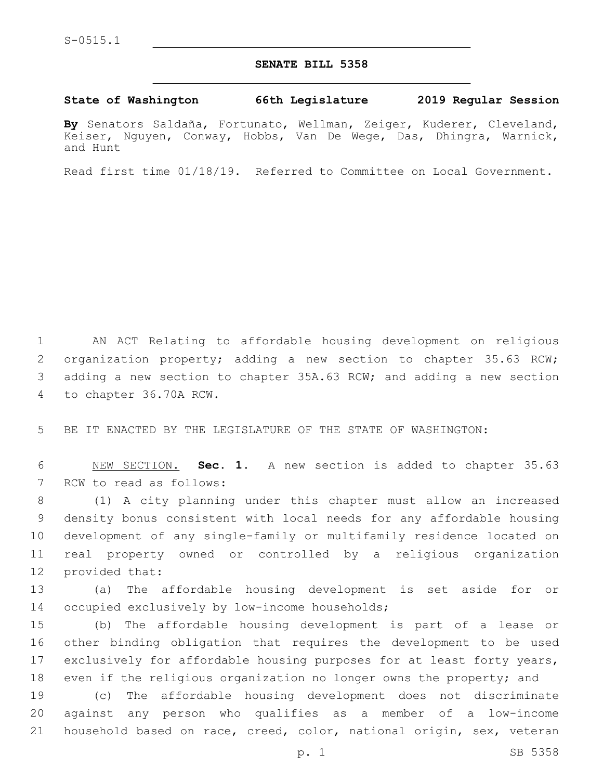## **SENATE BILL 5358**

## **State of Washington 66th Legislature 2019 Regular Session**

**By** Senators Saldaña, Fortunato, Wellman, Zeiger, Kuderer, Cleveland, Keiser, Nguyen, Conway, Hobbs, Van De Wege, Das, Dhingra, Warnick, and Hunt

Read first time 01/18/19. Referred to Committee on Local Government.

1 AN ACT Relating to affordable housing development on religious 2 organization property; adding a new section to chapter 35.63 RCW; 3 adding a new section to chapter 35A.63 RCW; and adding a new section 4 to chapter 36.70A RCW.

5 BE IT ENACTED BY THE LEGISLATURE OF THE STATE OF WASHINGTON:

6 NEW SECTION. **Sec. 1.** A new section is added to chapter 35.63 7 RCW to read as follows:

 (1) A city planning under this chapter must allow an increased density bonus consistent with local needs for any affordable housing development of any single-family or multifamily residence located on real property owned or controlled by a religious organization 12 provided that:

13 (a) The affordable housing development is set aside for or 14 occupied exclusively by low-income households;

 (b) The affordable housing development is part of a lease or other binding obligation that requires the development to be used exclusively for affordable housing purposes for at least forty years, even if the religious organization no longer owns the property; and

19 (c) The affordable housing development does not discriminate 20 against any person who qualifies as a member of a low-income 21 household based on race, creed, color, national origin, sex, veteran

p. 1 SB 5358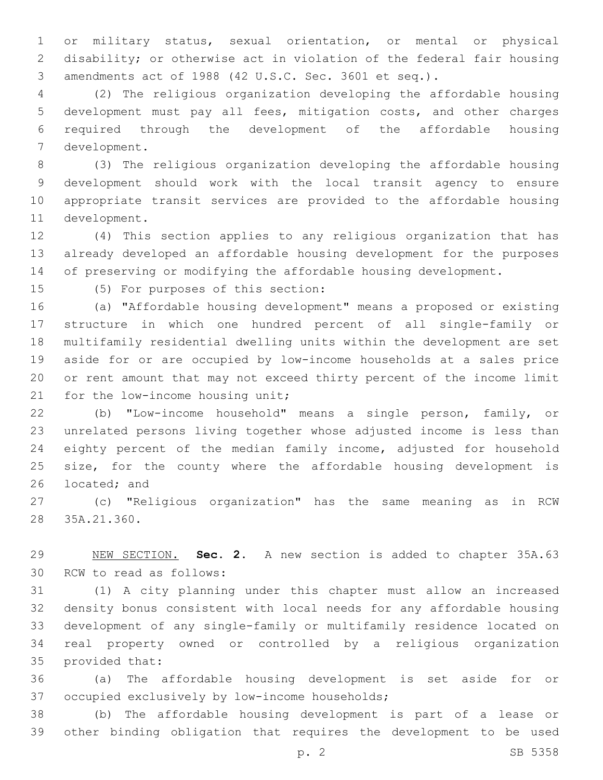or military status, sexual orientation, or mental or physical disability; or otherwise act in violation of the federal fair housing amendments act of 1988 (42 U.S.C. Sec. 3601 et seq.).

 (2) The religious organization developing the affordable housing development must pay all fees, mitigation costs, and other charges required through the development of the affordable housing 7 development.

 (3) The religious organization developing the affordable housing development should work with the local transit agency to ensure appropriate transit services are provided to the affordable housing 11 development.

 (4) This section applies to any religious organization that has already developed an affordable housing development for the purposes of preserving or modifying the affordable housing development.

15 (5) For purposes of this section:

 (a) "Affordable housing development" means a proposed or existing structure in which one hundred percent of all single-family or multifamily residential dwelling units within the development are set aside for or are occupied by low-income households at a sales price or rent amount that may not exceed thirty percent of the income limit 21 for the low-income housing unit;

 (b) "Low-income household" means a single person, family, or unrelated persons living together whose adjusted income is less than eighty percent of the median family income, adjusted for household 25 size, for the county where the affordable housing development is 26 located; and

 (c) "Religious organization" has the same meaning as in RCW 28 35A.21.360.

 NEW SECTION. **Sec. 2.** A new section is added to chapter 35A.63 30 RCW to read as follows:

 (1) A city planning under this chapter must allow an increased density bonus consistent with local needs for any affordable housing development of any single-family or multifamily residence located on real property owned or controlled by a religious organization 35 provided that:

 (a) The affordable housing development is set aside for or 37 occupied exclusively by low-income households;

 (b) The affordable housing development is part of a lease or other binding obligation that requires the development to be used

p. 2 SB 5358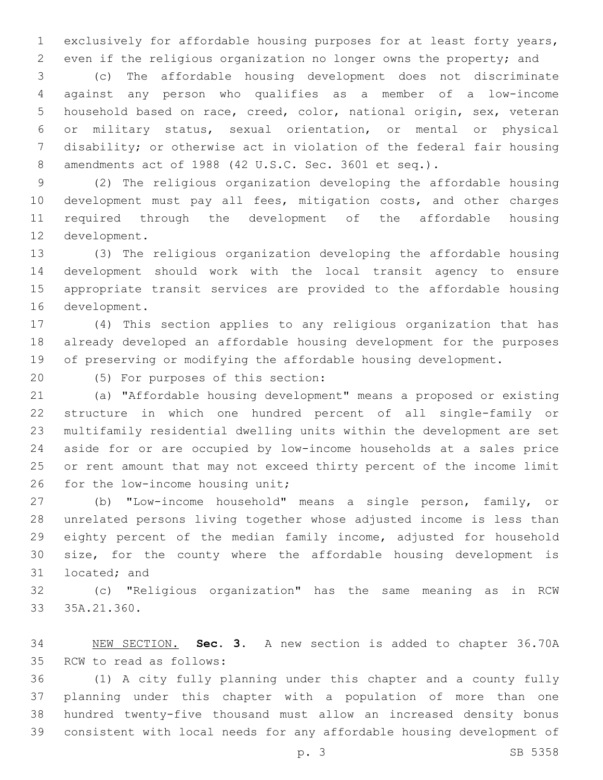exclusively for affordable housing purposes for at least forty years, even if the religious organization no longer owns the property; and

 (c) The affordable housing development does not discriminate against any person who qualifies as a member of a low-income household based on race, creed, color, national origin, sex, veteran or military status, sexual orientation, or mental or physical disability; or otherwise act in violation of the federal fair housing amendments act of 1988 (42 U.S.C. Sec. 3601 et seq.).

 (2) The religious organization developing the affordable housing development must pay all fees, mitigation costs, and other charges required through the development of the affordable housing 12 development.

 (3) The religious organization developing the affordable housing development should work with the local transit agency to ensure appropriate transit services are provided to the affordable housing 16 development.

 (4) This section applies to any religious organization that has already developed an affordable housing development for the purposes of preserving or modifying the affordable housing development.

(5) For purposes of this section:20

 (a) "Affordable housing development" means a proposed or existing structure in which one hundred percent of all single-family or multifamily residential dwelling units within the development are set aside for or are occupied by low-income households at a sales price or rent amount that may not exceed thirty percent of the income limit 26 for the low-income housing unit;

 (b) "Low-income household" means a single person, family, or unrelated persons living together whose adjusted income is less than eighty percent of the median family income, adjusted for household size, for the county where the affordable housing development is 31 located; and

 (c) "Religious organization" has the same meaning as in RCW 33 35A.21.360.

 NEW SECTION. **Sec. 3.** A new section is added to chapter 36.70A 35 RCW to read as follows:

 (1) A city fully planning under this chapter and a county fully planning under this chapter with a population of more than one hundred twenty-five thousand must allow an increased density bonus consistent with local needs for any affordable housing development of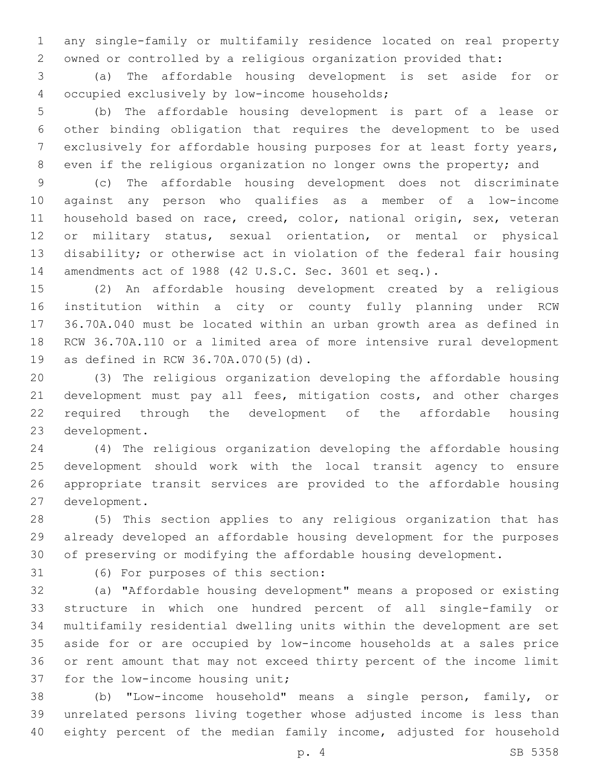any single-family or multifamily residence located on real property owned or controlled by a religious organization provided that:

 (a) The affordable housing development is set aside for or 4 occupied exclusively by low-income households;

 (b) The affordable housing development is part of a lease or other binding obligation that requires the development to be used exclusively for affordable housing purposes for at least forty years, even if the religious organization no longer owns the property; and

 (c) The affordable housing development does not discriminate against any person who qualifies as a member of a low-income household based on race, creed, color, national origin, sex, veteran or military status, sexual orientation, or mental or physical disability; or otherwise act in violation of the federal fair housing amendments act of 1988 (42 U.S.C. Sec. 3601 et seq.).

 (2) An affordable housing development created by a religious institution within a city or county fully planning under RCW 36.70A.040 must be located within an urban growth area as defined in RCW 36.70A.110 or a limited area of more intensive rural development 19 as defined in RCW 36.70A.070(5)(d).

 (3) The religious organization developing the affordable housing development must pay all fees, mitigation costs, and other charges required through the development of the affordable housing 23 development.

 (4) The religious organization developing the affordable housing development should work with the local transit agency to ensure appropriate transit services are provided to the affordable housing 27 development.

 (5) This section applies to any religious organization that has already developed an affordable housing development for the purposes of preserving or modifying the affordable housing development.

31 (6) For purposes of this section:

 (a) "Affordable housing development" means a proposed or existing structure in which one hundred percent of all single-family or multifamily residential dwelling units within the development are set aside for or are occupied by low-income households at a sales price or rent amount that may not exceed thirty percent of the income limit 37 for the low-income housing unit;

 (b) "Low-income household" means a single person, family, or unrelated persons living together whose adjusted income is less than eighty percent of the median family income, adjusted for household